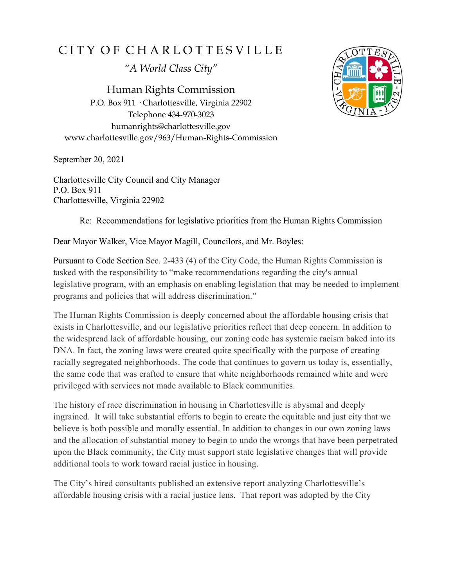## CITY OF CHARLOTTESVILLE

*"A World Class City"*

Human Rights Commission P.O. Box 911 · Charlottesville, Virginia 22902 Telephone 434-970-3023 humanrights@charlottesville.gov www.charlottesville.gov/963/Human-Rights-Commission

September 20, 2021

Charlottesville City Council and City Manager P.O. Box 911 Charlottesville, Virginia 22902



Re: Recommendations for legislative priorities from the Human Rights Commission

Dear Mayor Walker, Vice Mayor Magill, Councilors, and Mr. Boyles:

Pursuant to Code Section Sec. 2-433 (4) of the City Code, the Human Rights Commission is tasked with the responsibility to "make recommendations regarding the city's annual legislative program, with an emphasis on enabling legislation that may be needed to implement programs and policies that will address discrimination."

The Human Rights Commission is deeply concerned about the affordable housing crisis that exists in Charlottesville, and our legislative priorities reflect that deep concern. In addition to the widespread lack of affordable housing, our zoning code has systemic racism baked into its DNA. In fact, the zoning laws were created quite specifically with the purpose of creating racially segregated neighborhoods. The code that continues to govern us today is, essentially, the same code that was crafted to ensure that white neighborhoods remained white and were privileged with services not made available to Black communities.

The history of race discrimination in housing in Charlottesville is abysmal and deeply ingrained. It will take substantial efforts to begin to create the equitable and just city that we believe is both possible and morally essential. In addition to changes in our own zoning laws and the allocation of substantial money to begin to undo the wrongs that have been perpetrated upon the Black community, the City must support state legislative changes that will provide additional tools to work toward racial justice in housing.

The City's hired consultants published an extensive report analyzing Charlottesville's affordable housing crisis with a racial justice lens. That report was adopted by the City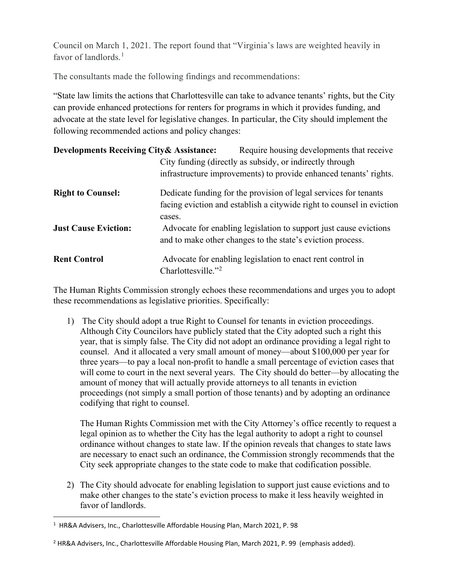Council on March 1, 2021. The report found that "Virginia's laws are weighted heavily in favor of landlords. $<sup>1</sup>$  $<sup>1</sup>$  $<sup>1</sup>$ </sup>

The consultants made the following findings and recommendations:

"State law limits the actions that Charlottesville can take to advance tenants' rights, but the City can provide enhanced protections for renters for programs in which it provides funding, and advocate at the state level for legislative changes. In particular, the City should implement the following recommended actions and policy changes:

| <b>Developments Receiving City &amp; Assistance:</b> |                                                          | Require housing developments that receive                                                                                                 |
|------------------------------------------------------|----------------------------------------------------------|-------------------------------------------------------------------------------------------------------------------------------------------|
|                                                      | City funding (directly as subsidy, or indirectly through |                                                                                                                                           |
|                                                      |                                                          | infrastructure improvements) to provide enhanced tenants' rights.                                                                         |
| <b>Right to Counsel:</b>                             |                                                          | Dedicate funding for the provision of legal services for tenants<br>facing eviction and establish a citywide right to counsel in eviction |
| <b>Just Cause Eviction:</b>                          | cases.                                                   | Advocate for enabling legislation to support just cause evictions<br>and to make other changes to the state's eviction process.           |
| <b>Rent Control</b>                                  | Charlottesville." <sup>2</sup>                           | Advocate for enabling legislation to enact rent control in                                                                                |

The Human Rights Commission strongly echoes these recommendations and urges you to adopt these recommendations as legislative priorities. Specifically:

1) The City should adopt a true Right to Counsel for tenants in eviction proceedings. Although City Councilors have publicly stated that the City adopted such a right this year, that is simply false. The City did not adopt an ordinance providing a legal right to counsel. And it allocated a very small amount of money—about \$100,000 per year for three years—to pay a local non-profit to handle a small percentage of eviction cases that will come to court in the next several years. The City should do better—by allocating the amount of money that will actually provide attorneys to all tenants in eviction proceedings (not simply a small portion of those tenants) and by adopting an ordinance codifying that right to counsel.

The Human Rights Commission met with the City Attorney's office recently to request a legal opinion as to whether the City has the legal authority to adopt a right to counsel ordinance without changes to state law. If the opinion reveals that changes to state laws are necessary to enact such an ordinance, the Commission strongly recommends that the City seek appropriate changes to the state code to make that codification possible.

2) The City should advocate for enabling legislation to support just cause evictions and to make other changes to the state's eviction process to make it less heavily weighted in favor of landlords.

<span id="page-1-0"></span><sup>&</sup>lt;sup>1</sup> HR&A Advisers, Inc., Charlottesville Affordable Housing Plan, March 2021, P. 98

<span id="page-1-1"></span> $2$  HR&A Advisers, Inc., Charlottesville Affordable Housing Plan, March 2021, P. 99 (emphasis added).